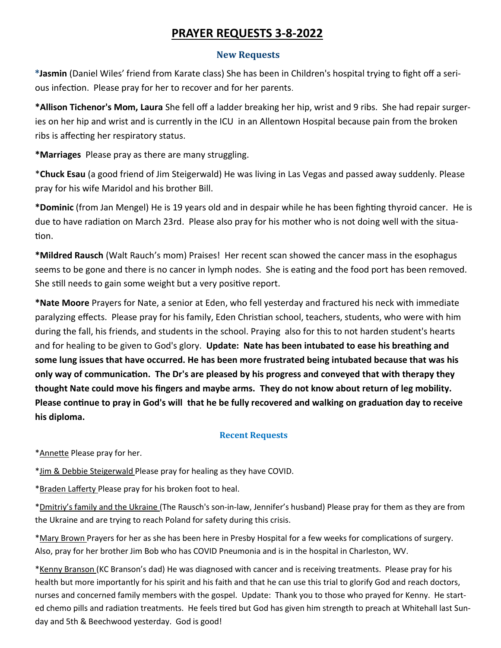# **PRAYER REQUESTS 3-8-2022**

### **New Requests**

**\*Jasmin** (Daniel Wiles' friend from Karate class) She has been in Children's hospital trying to fight off a serious infection. Please pray for her to recover and for her parents.

**\*Allison Tichenor's Mom, Laura** She fell off a ladder breaking her hip, wrist and 9 ribs. She had repair surgeries on her hip and wrist and is currently in the ICU in an Allentown Hospital because pain from the broken ribs is affecting her respiratory status.

**\*Marriages** Please pray as there are many struggling.

\***Chuck Esau** (a good friend of Jim Steigerwald) He was living in Las Vegas and passed away suddenly. Please pray for his wife Maridol and his brother Bill.

**\*Dominic** (from Jan Mengel) He is 19 years old and in despair while he has been fighting thyroid cancer. He is due to have radiation on March 23rd. Please also pray for his mother who is not doing well with the situation.

**\*Mildred Rausch** (Walt Rauch's mom) Praises! Her recent scan showed the cancer mass in the esophagus seems to be gone and there is no cancer in lymph nodes. She is eating and the food port has been removed. She still needs to gain some weight but a very positive report.

**\*Nate Moore** Prayers for Nate, a senior at Eden, who fell yesterday and fractured his neck with immediate paralyzing effects. Please pray for his family, Eden Christian school, teachers, students, who were with him during the fall, his friends, and students in the school. Praying also for this to not harden student's hearts and for healing to be given to God's glory. **Update: Nate has been intubated to ease his breathing and some lung issues that have occurred. He has been more frustrated being intubated because that was his only way of communication. The Dr's are pleased by his progress and conveyed that with therapy they thought Nate could move his fingers and maybe arms. They do not know about return of leg mobility. Please continue to pray in God's will that he be fully recovered and walking on graduation day to receive his diploma.** 

### **Recent Requests**

\*Annette Please pray for her.

\*Jim & Debbie Steigerwald Please pray for healing as they have COVID.

\*Braden Lafferty Please pray for his broken foot to heal.

\*Dmitriy's family and the Ukraine (The Rausch's son-in-law, Jennifer's husband) Please pray for them as they are from the Ukraine and are trying to reach Poland for safety during this crisis.

\*Mary Brown Prayers for her as she has been here in Presby Hospital for a few weeks for complications of surgery. Also, pray for her brother Jim Bob who has COVID Pneumonia and is in the hospital in Charleston, WV.

\*Kenny Branson (KC Branson's dad) He was diagnosed with cancer and is receiving treatments. Please pray for his health but more importantly for his spirit and his faith and that he can use this trial to glorify God and reach doctors, nurses and concerned family members with the gospel. Update: Thank you to those who prayed for Kenny. He started chemo pills and radiation treatments. He feels tired but God has given him strength to preach at Whitehall last Sunday and 5th & Beechwood yesterday. God is good!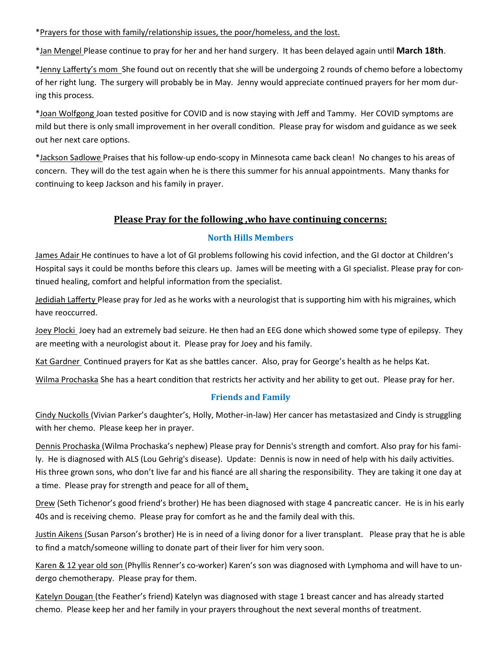\*Prayers for those with family/relationship issues, the poor/homeless, and the lost.

\*Jan Mengel Please continue to pray for her and her hand surgery. It has been delayed again until **March 18th**.

\*Jenny Lafferty's mom She found out on recently that she will be undergoing 2 rounds of chemo before a lobectomy of her right lung. The surgery will probably be in May. Jenny would appreciate continued prayers for her mom during this process.

\*Joan Wolfgong Joan tested positive for COVID and is now staying with Jeff and Tammy. Her COVID symptoms are mild but there is only small improvement in her overall condition. Please pray for wisdom and guidance as we seek out her next care options.

\*Jackson Sadlowe Praises that his follow-up endo-scopy in Minnesota came back clean! No changes to his areas of concern. They will do the test again when he is there this summer for his annual appointments. Many thanks for continuing to keep Jackson and his family in prayer.

# **Please Pray for the following ,who have continuing concerns:**

### **North Hills Members**

James Adair He continues to have a lot of GI problems following his covid infection, and the GI doctor at Children's Hospital says it could be months before this clears up. James will be meeting with a GI specialist. Please pray for continued healing, comfort and helpful information from the specialist.

Jedidiah Lafferty Please pray for Jed as he works with a neurologist that is supporting him with his migraines, which have reoccurred.

Joey Plocki Joey had an extremely bad seizure. He then had an EEG done which showed some type of epilepsy. They are meeting with a neurologist about it. Please pray for Joey and his family.

Kat Gardner Continued prayers for Kat as she battles cancer. Also, pray for George's health as he helps Kat.

Wilma Prochaska She has a heart condition that restricts her activity and her ability to get out. Please pray for her.

## **Friends and Family**

Cindy Nuckolls (Vivian Parker's daughter's, Holly, Mother-in-law) Her cancer has metastasized and Cindy is struggling with her chemo. Please keep her in prayer.

Dennis Prochaska (Wilma Prochaska's nephew) Please pray for Dennis's strength and comfort. Also pray for his family. He is diagnosed with ALS (Lou Gehrig's disease). Update: Dennis is now in need of help with his daily activities. His three grown sons, who don't live far and his fiancé are all sharing the responsibility. They are taking it one day at a time. Please pray for strength and peace for all of them.

Drew (Seth Tichenor's good friend's brother) He has been diagnosed with stage 4 pancreatic cancer. He is in his early 40s and is receiving chemo. Please pray for comfort as he and the family deal with this.

Justin Aikens (Susan Parson's brother) He is in need of a living donor for a liver transplant. Please pray that he is able to find a match/someone willing to donate part of their liver for him very soon.

Karen & 12 year old son (Phyllis Renner's co-worker) Karen's son was diagnosed with Lymphoma and will have to undergo chemotherapy. Please pray for them.

Katelyn Dougan (the Feather's friend) Katelyn was diagnosed with stage 1 breast cancer and has already started chemo. Please keep her and her family in your prayers throughout the next several months of treatment.